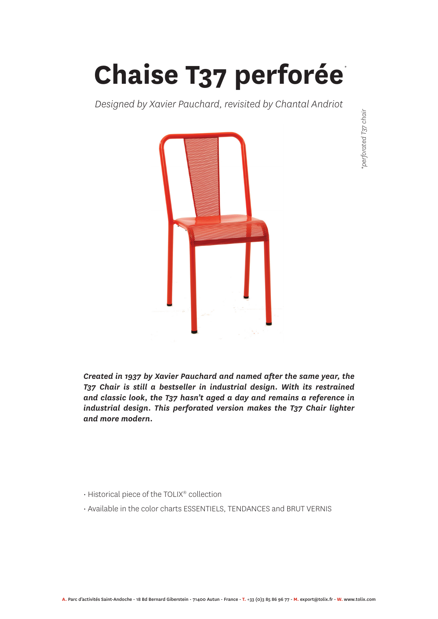**Chaise T37 perforée** *\**

*Designed by Xavier Pauchard, revisited by Chantal Andriot*



*Created in 1937 by Xavier Pauchard and named after the same year, the T37 Chair is still a bestseller in industrial design. With its restrained and classic look, the T37 hasn't aged a day and remains a reference in industrial design. This perforated version makes the T37 Chair lighter and more modern.* 

- Historical piece of the TOLIX® collection
- Available in the color charts ESSENTIELS, TENDANCES and BRUT VERNIS